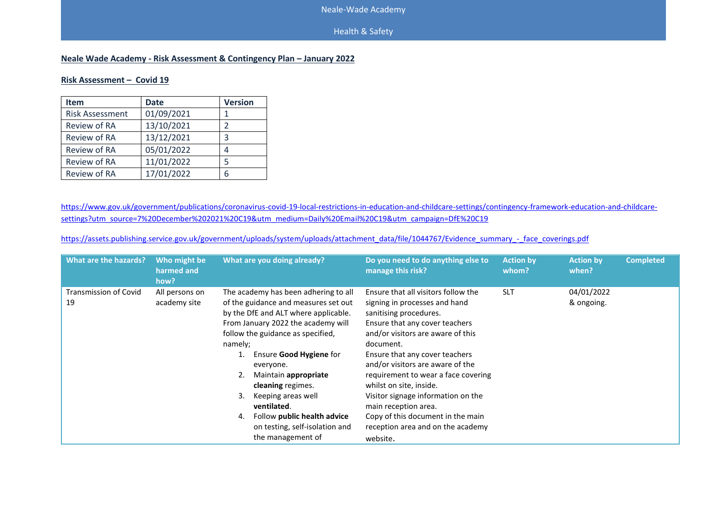### Health & Safety

#### **Neale Wade Academy - Risk Assessment & Contingency Plan – January 2022**

#### **Risk Assessment – Covid 19**

| <b>Item</b>            | <b>Date</b> | <b>Version</b> |
|------------------------|-------------|----------------|
| <b>Risk Assessment</b> | 01/09/2021  | 1              |
| Review of RA           | 13/10/2021  | $\mathcal{P}$  |
| Review of RA           | 13/12/2021  | 3              |
| Review of RA           | 05/01/2022  | 4              |
| Review of RA           | 11/01/2022  | 5              |
| Review of RA           | 17/01/2022  | 6              |

[https://www.gov.uk/government/publications/coronavirus-covid-19-local-restrictions-in-education-and-childcare-settings/contingency-framework-education-and-childcare](https://www.gov.uk/government/publications/coronavirus-covid-19-local-restrictions-in-education-and-childcare-settings/contingency-framework-education-and-childcare-settings?utm_source=7%20December%202021%20C19&utm_medium=Daily%20Email%20C19&utm_campaign=DfE%20C19)[settings?utm\\_source=7%20December%202021%20C19&utm\\_medium=Daily%20Email%20C19&utm\\_campaign=DfE%20C19](https://www.gov.uk/government/publications/coronavirus-covid-19-local-restrictions-in-education-and-childcare-settings/contingency-framework-education-and-childcare-settings?utm_source=7%20December%202021%20C19&utm_medium=Daily%20Email%20C19&utm_campaign=DfE%20C19)

[https://assets.publishing.service.gov.uk/government/uploads/system/uploads/attachment\\_data/file/1044767/Evidence\\_summary\\_-\\_face\\_coverings.pdf](https://assets.publishing.service.gov.uk/government/uploads/system/uploads/attachment_data/file/1044767/Evidence_summary_-_face_coverings.pdf)

| What are the hazards?              | Who might be<br>harmed and<br>how? | What are you doing already?                                                                                                                                                                                                                                                                                                                                                                                                                  | Do you need to do anything else to<br>manage this risk?                                                                                                                                                                                                                                                                                                                                                                                                                        | <b>Action by</b><br>whom? | <b>Action by</b><br>when? | <b>Completed</b> |
|------------------------------------|------------------------------------|----------------------------------------------------------------------------------------------------------------------------------------------------------------------------------------------------------------------------------------------------------------------------------------------------------------------------------------------------------------------------------------------------------------------------------------------|--------------------------------------------------------------------------------------------------------------------------------------------------------------------------------------------------------------------------------------------------------------------------------------------------------------------------------------------------------------------------------------------------------------------------------------------------------------------------------|---------------------------|---------------------------|------------------|
| <b>Transmission of Covid</b><br>19 | All persons on<br>academy site     | The academy has been adhering to all<br>of the guidance and measures set out<br>by the DfE and ALT where applicable.<br>From January 2022 the academy will<br>follow the guidance as specified,<br>namely;<br>Ensure Good Hygiene for<br>everyone.<br>2.<br>Maintain appropriate<br>cleaning regimes.<br>Keeping areas well<br>3.<br>ventilated.<br>Follow public health advice<br>4.<br>on testing, self-isolation and<br>the management of | Ensure that all visitors follow the<br>signing in processes and hand<br>sanitising procedures.<br>Ensure that any cover teachers<br>and/or visitors are aware of this<br>document.<br>Ensure that any cover teachers<br>and/or visitors are aware of the<br>requirement to wear a face covering<br>whilst on site, inside.<br>Visitor signage information on the<br>main reception area.<br>Copy of this document in the main<br>reception area and on the academy<br>website. | <b>SLT</b>                | 04/01/2022<br>& ongoing.  |                  |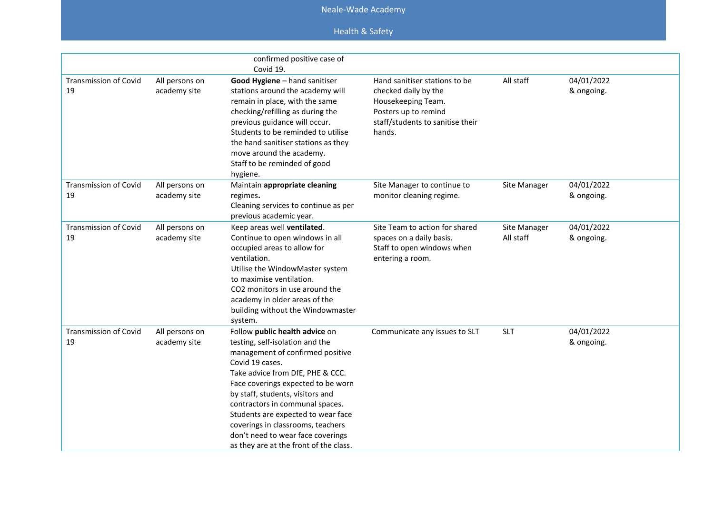|                                    |                                | confirmed positive case of<br>Covid 19.                                                                                                                                                                                                                                                                                                                                                                                             |                                                                                                                                                   |                           |                          |
|------------------------------------|--------------------------------|-------------------------------------------------------------------------------------------------------------------------------------------------------------------------------------------------------------------------------------------------------------------------------------------------------------------------------------------------------------------------------------------------------------------------------------|---------------------------------------------------------------------------------------------------------------------------------------------------|---------------------------|--------------------------|
| <b>Transmission of Covid</b><br>19 | All persons on<br>academy site | Good Hygiene - hand sanitiser<br>stations around the academy will<br>remain in place, with the same<br>checking/refilling as during the<br>previous guidance will occur.<br>Students to be reminded to utilise<br>the hand sanitiser stations as they<br>move around the academy.<br>Staff to be reminded of good<br>hygiene.                                                                                                       | Hand sanitiser stations to be<br>checked daily by the<br>Housekeeping Team.<br>Posters up to remind<br>staff/students to sanitise their<br>hands. | All staff                 | 04/01/2022<br>& ongoing. |
| <b>Transmission of Covid</b><br>19 | All persons on<br>academy site | Maintain appropriate cleaning<br>regimes.<br>Cleaning services to continue as per<br>previous academic year.                                                                                                                                                                                                                                                                                                                        | Site Manager to continue to<br>monitor cleaning regime.                                                                                           | Site Manager              | 04/01/2022<br>& ongoing. |
| <b>Transmission of Covid</b><br>19 | All persons on<br>academy site | Keep areas well ventilated.<br>Continue to open windows in all<br>occupied areas to allow for<br>ventilation.<br>Utilise the WindowMaster system<br>to maximise ventilation.<br>CO <sub>2</sub> monitors in use around the<br>academy in older areas of the<br>building without the Windowmaster<br>system.                                                                                                                         | Site Team to action for shared<br>spaces on a daily basis.<br>Staff to open windows when<br>entering a room.                                      | Site Manager<br>All staff | 04/01/2022<br>& ongoing. |
| <b>Transmission of Covid</b><br>19 | All persons on<br>academy site | Follow public health advice on<br>testing, self-isolation and the<br>management of confirmed positive<br>Covid 19 cases.<br>Take advice from DfE, PHE & CCC.<br>Face coverings expected to be worn<br>by staff, students, visitors and<br>contractors in communal spaces.<br>Students are expected to wear face<br>coverings in classrooms, teachers<br>don't need to wear face coverings<br>as they are at the front of the class. | Communicate any issues to SLT                                                                                                                     | <b>SLT</b>                | 04/01/2022<br>& ongoing. |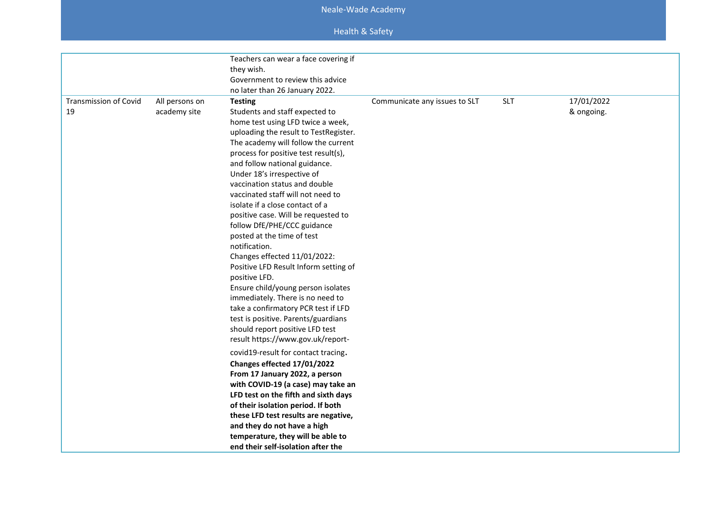|                                    |                                | Teachers can wear a face covering if<br>they wish.<br>Government to review this advice<br>no later than 26 January 2022.                                                                                                                                                                                                                                                                                                                                                                                                                                                                                                                                                                                                                                                                                                                                                                                   |                               |            |                          |
|------------------------------------|--------------------------------|------------------------------------------------------------------------------------------------------------------------------------------------------------------------------------------------------------------------------------------------------------------------------------------------------------------------------------------------------------------------------------------------------------------------------------------------------------------------------------------------------------------------------------------------------------------------------------------------------------------------------------------------------------------------------------------------------------------------------------------------------------------------------------------------------------------------------------------------------------------------------------------------------------|-------------------------------|------------|--------------------------|
| <b>Transmission of Covid</b><br>19 | All persons on<br>academy site | <b>Testing</b><br>Students and staff expected to<br>home test using LFD twice a week,<br>uploading the result to TestRegister.<br>The academy will follow the current<br>process for positive test result(s),<br>and follow national guidance.<br>Under 18's irrespective of<br>vaccination status and double<br>vaccinated staff will not need to<br>isolate if a close contact of a<br>positive case. Will be requested to<br>follow DfE/PHE/CCC guidance<br>posted at the time of test<br>notification.<br>Changes effected 11/01/2022:<br>Positive LFD Result Inform setting of<br>positive LFD.<br>Ensure child/young person isolates<br>immediately. There is no need to<br>take a confirmatory PCR test if LFD<br>test is positive. Parents/guardians<br>should report positive LFD test<br>result https://www.gov.uk/report-<br>covid19-result for contact tracing.<br>Changes effected 17/01/2022 | Communicate any issues to SLT | <b>SLT</b> | 17/01/2022<br>& ongoing. |
|                                    |                                | From 17 January 2022, a person<br>with COVID-19 (a case) may take an<br>LFD test on the fifth and sixth days<br>of their isolation period. If both<br>these LFD test results are negative,                                                                                                                                                                                                                                                                                                                                                                                                                                                                                                                                                                                                                                                                                                                 |                               |            |                          |
|                                    |                                | and they do not have a high<br>temperature, they will be able to<br>end their self-isolation after the                                                                                                                                                                                                                                                                                                                                                                                                                                                                                                                                                                                                                                                                                                                                                                                                     |                               |            |                          |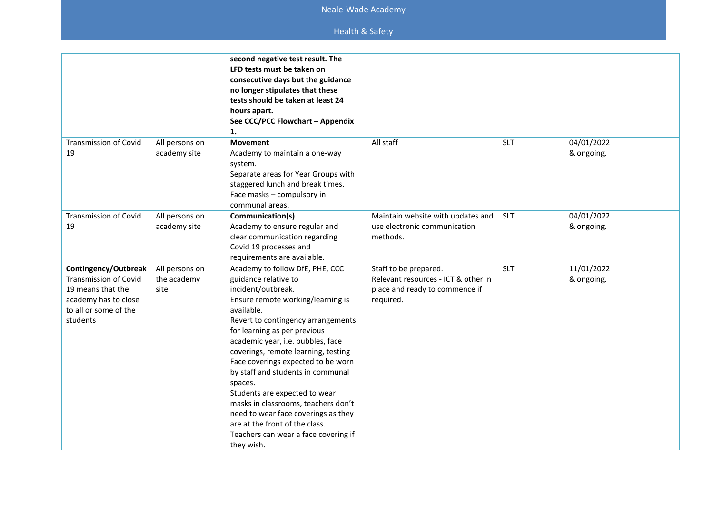|                                                                                                                                        |                                       | second negative test result. The<br>LFD tests must be taken on<br>consecutive days but the guidance<br>no longer stipulates that these<br>tests should be taken at least 24<br>hours apart.<br>See CCC/PCC Flowchart - Appendix<br>1.                                                                                                                                                                                                                                                                                                                                           |                                                                                                             |            |                          |
|----------------------------------------------------------------------------------------------------------------------------------------|---------------------------------------|---------------------------------------------------------------------------------------------------------------------------------------------------------------------------------------------------------------------------------------------------------------------------------------------------------------------------------------------------------------------------------------------------------------------------------------------------------------------------------------------------------------------------------------------------------------------------------|-------------------------------------------------------------------------------------------------------------|------------|--------------------------|
| <b>Transmission of Covid</b><br>19                                                                                                     | All persons on<br>academy site        | <b>Movement</b><br>Academy to maintain a one-way<br>system.<br>Separate areas for Year Groups with<br>staggered lunch and break times.<br>Face masks - compulsory in<br>communal areas.                                                                                                                                                                                                                                                                                                                                                                                         | All staff                                                                                                   | <b>SLT</b> | 04/01/2022<br>& ongoing. |
| <b>Transmission of Covid</b><br>19                                                                                                     | All persons on<br>academy site        | Communication(s)<br>Academy to ensure regular and<br>clear communication regarding<br>Covid 19 processes and<br>requirements are available.                                                                                                                                                                                                                                                                                                                                                                                                                                     | Maintain website with updates and<br>use electronic communication<br>methods.                               | <b>SLT</b> | 04/01/2022<br>& ongoing. |
| Contingency/Outbreak<br><b>Transmission of Covid</b><br>19 means that the<br>academy has to close<br>to all or some of the<br>students | All persons on<br>the academy<br>site | Academy to follow DfE, PHE, CCC<br>guidance relative to<br>incident/outbreak.<br>Ensure remote working/learning is<br>available.<br>Revert to contingency arrangements<br>for learning as per previous<br>academic year, i.e. bubbles, face<br>coverings, remote learning, testing<br>Face coverings expected to be worn<br>by staff and students in communal<br>spaces.<br>Students are expected to wear<br>masks in classrooms, teachers don't<br>need to wear face coverings as they<br>are at the front of the class.<br>Teachers can wear a face covering if<br>they wish. | Staff to be prepared.<br>Relevant resources - ICT & other in<br>place and ready to commence if<br>required. | <b>SLT</b> | 11/01/2022<br>& ongoing. |